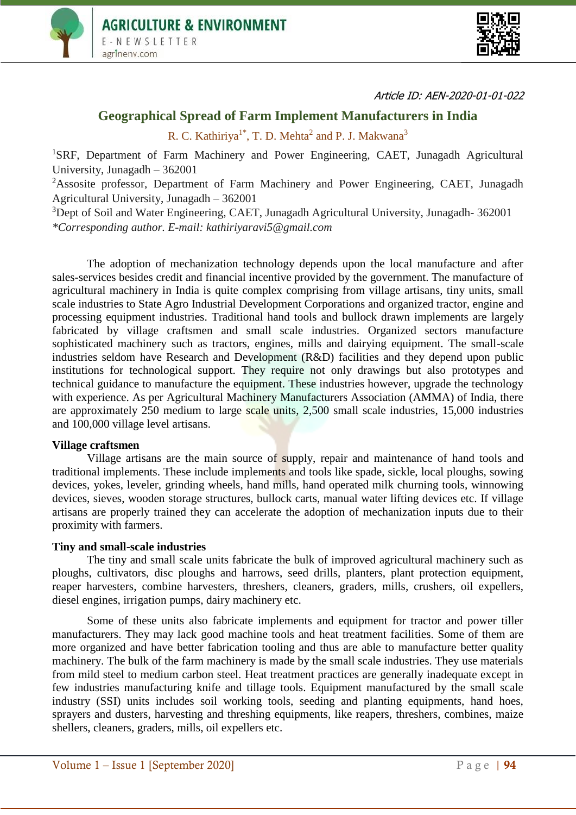



Article ID: AEN-2020-01-01-022

# **Geographical Spread of Farm Implement Manufacturers in India**

R. C. Kathiriya<sup>1\*</sup>, T. D. Mehta<sup>2</sup> and P. J. Makwana<sup>3</sup>

<sup>1</sup>SRF, Department of Farm Machinery and Power Engineering, CAET, Junagadh Agricultural University, Junagadh – 362001

<sup>2</sup>Assosite professor, Department of Farm Machinery and Power Engineering, CAET, Junagadh Agricultural University, Junagadh – 362001

<sup>3</sup>Dept of Soil and Water Engineering, CAET, Junagadh Agricultural University, Junagadh- 362001 *\*Corresponding author. E-mail: kathiriyaravi5@gmail.com*

The adoption of mechanization technology depends upon the local manufacture and after sales-services besides credit and financial incentive provided by the government. The manufacture of agricultural machinery in India is quite complex comprising from village artisans, tiny units, small scale industries to State Agro Industrial Development Corporations and organized tractor, engine and processing equipment industries. Traditional hand tools and bullock drawn implements are largely fabricated by village craftsmen and small scale industries. Organized sectors manufacture sophisticated machinery such as tractors, engines, mills and dairying equipment. The small-scale industries seldom have Research and Development (R&D) facilities and they depend upon public institutions for technological support. They require not only drawings but also prototypes and technical guidance to manufacture the equipment. These industries however, upgrade the technology with experience. As per Agricultural Machinery Manufacturers Association (AMMA) of India, there are approximately 250 medium to large scale units, 2,500 small scale industries, 15,000 industries and 100,000 village level artisans.

### **Village craftsmen**

Village artisans are the main source of supply, repair and maintenance of hand tools and traditional implements. These include implements and tools like spade, sickle, local ploughs, sowing devices, yokes, leveler, grinding wheels, hand mills, hand operated milk churning tools, winnowing devices, sieves, wooden storage structures, bullock carts, manual water lifting devices etc. If village artisans are properly trained they can accelerate the adoption of mechanization inputs due to their proximity with farmers.

#### **Tiny and small-scale industries**

The tiny and small scale units fabricate the bulk of improved agricultural machinery such as ploughs, cultivators, disc ploughs and harrows, seed drills, planters, plant protection equipment, reaper harvesters, combine harvesters, threshers, cleaners, graders, mills, crushers, oil expellers, diesel engines, irrigation pumps, dairy machinery etc.

Some of these units also fabricate implements and equipment for tractor and power tiller manufacturers. They may lack good machine tools and heat treatment facilities. Some of them are more organized and have better fabrication tooling and thus are able to manufacture better quality machinery. The bulk of the farm machinery is made by the small scale industries. They use materials from mild steel to medium carbon steel. Heat treatment practices are generally inadequate except in few industries manufacturing knife and tillage tools. Equipment manufactured by the small scale industry (SSI) units includes soil working tools, seeding and planting equipments, hand hoes, sprayers and dusters, harvesting and threshing equipments, like reapers, threshers, combines, maize shellers, cleaners, graders, mills, oil expellers etc.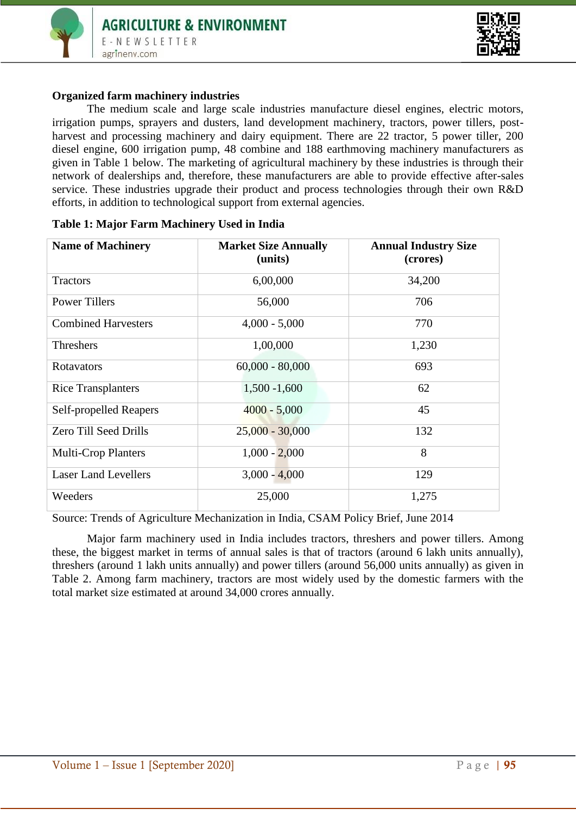



## **Organized farm machinery industries**

The medium scale and large scale industries manufacture diesel engines, electric motors, irrigation pumps, sprayers and dusters, land development machinery, tractors, power tillers, postharvest and processing machinery and dairy equipment. There are 22 tractor, 5 power tiller, 200 diesel engine, 600 irrigation pump, 48 combine and 188 earthmoving machinery manufacturers as given in Table 1 below. The marketing of agricultural machinery by these industries is through their network of dealerships and, therefore, these manufacturers are able to provide effective after-sales service. These industries upgrade their product and process technologies through their own R&D efforts, in addition to technological support from external agencies.

| <b>Name of Machinery</b>    | <b>Market Size Annually</b><br>(units) | <b>Annual Industry Size</b><br>(crores) |
|-----------------------------|----------------------------------------|-----------------------------------------|
| <b>Tractors</b>             | 6,00,000                               | 34,200                                  |
| <b>Power Tillers</b>        | 56,000                                 | 706                                     |
| <b>Combined Harvesters</b>  | $4,000 - 5,000$                        | 770                                     |
| <b>Threshers</b>            | 1,00,000                               | 1,230                                   |
| Rotavators                  | $60,000 - 80,000$                      | 693                                     |
| <b>Rice Transplanters</b>   | $1,500 - 1,600$                        | 62                                      |
| Self-propelled Reapers      | $4000 - 5,000$                         | 45                                      |
| Zero Till Seed Drills       | $25,000 - 30,000$                      | 132                                     |
| <b>Multi-Crop Planters</b>  | $1,000 - 2,000$                        | 8                                       |
| <b>Laser Land Levellers</b> | $3,000 - 4,000$                        | 129                                     |
| Weeders                     | 25,000                                 | 1,275                                   |

### **Table 1: Major Farm Machinery Used in India**

Source: Trends of Agriculture Mechanization in India, CSAM Policy Brief, June 2014

Major farm machinery used in India includes tractors, threshers and power tillers. Among these, the biggest market in terms of annual sales is that of tractors (around 6 lakh units annually), threshers (around 1 lakh units annually) and power tillers (around 56,000 units annually) as given in Table 2. Among farm machinery, tractors are most widely used by the domestic farmers with the total market size estimated at around 34,000 crores annually.